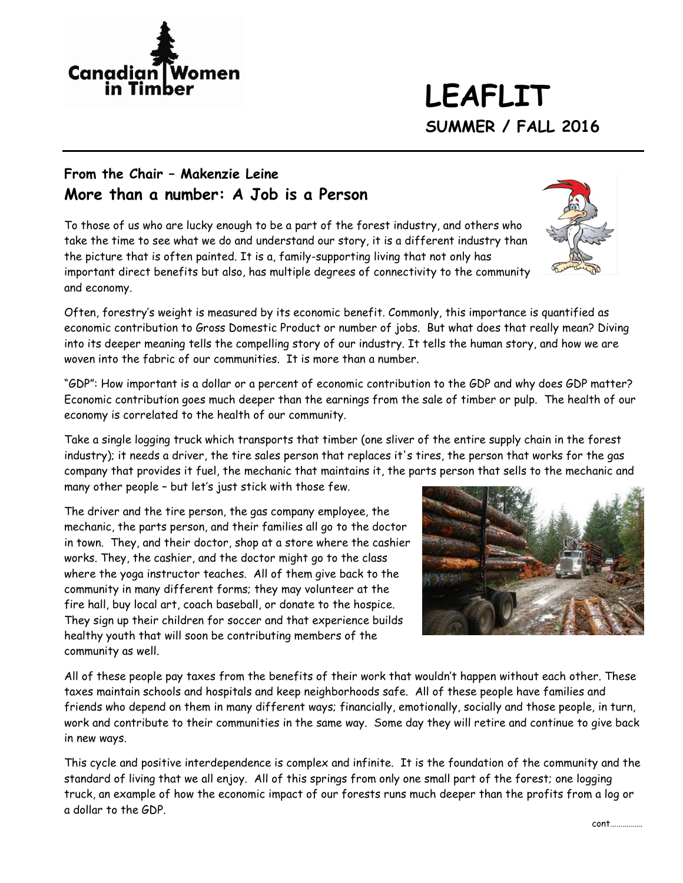

# **LEAFLIT SUMMER / FALL 2016**

#### **From the Chair – Makenzie Leine More than a number: A Job is a Person**

To those of us who are lucky enough to be a part of the forest industry, and others who take the time to see what we do and understand our story, it is a different industry than the picture that is often painted. It is a, family-supporting living that not only has important direct benefits but also, has multiple degrees of connectivity to the community and economy.

Often, forestry's weight is measured by its economic benefit. Commonly, this importance is quantified as economic contribution to Gross Domestic Product or number of jobs. But what does that really mean? Diving into its deeper meaning tells the compelling story of our industry. It tells the human story, and how we are woven into the fabric of our communities. It is more than a number.

"GDP": How important is a dollar or a percent of economic contribution to the GDP and why does GDP matter? Economic contribution goes much deeper than the earnings from the sale of timber or pulp. The health of our economy is correlated to the health of our community.

Take a single logging truck which transports that timber (one sliver of the entire supply chain in the forest industry); it needs a driver, the tire sales person that replaces it's tires, the person that works for the gas company that provides it fuel, the mechanic that maintains it, the parts person that sells to the mechanic and many other people – but let's just stick with those few.

The driver and the tire person, the gas company employee, the mechanic, the parts person, and their families all go to the doctor in town. They, and their doctor, shop at a store where the cashier works. They, the cashier, and the doctor might go to the class where the yoga instructor teaches. All of them give back to the community in many different forms; they may volunteer at the fire hall, buy local art, coach baseball, or donate to the hospice. They sign up their children for soccer and that experience builds healthy youth that will soon be contributing members of the community as well.



All of these people pay taxes from the benefits of their work that wouldn't happen without each other. These taxes maintain schools and hospitals and keep neighborhoods safe. All of these people have families and friends who depend on them in many different ways; financially, emotionally, socially and those people, in turn, work and contribute to their communities in the same way. Some day they will retire and continue to give back in new ways.

This cycle and positive interdependence is complex and infinite. It is the foundation of the community and the standard of living that we all enjoy. All of this springs from only one small part of the forest; one logging truck, an example of how the economic impact of our forests runs much deeper than the profits from a log or a dollar to the GDP.



cont…………….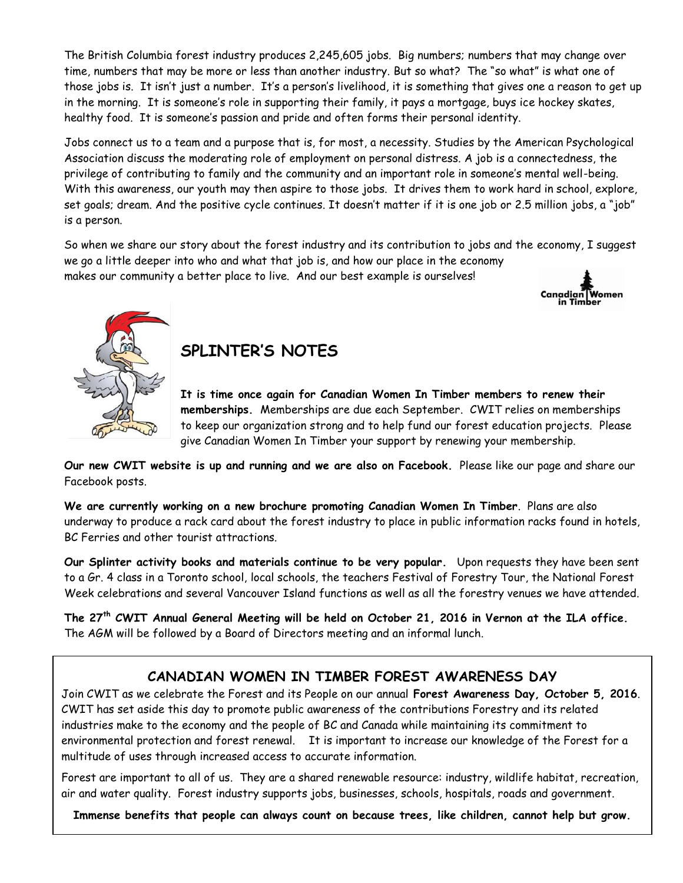The British Columbia forest industry produces 2,245,605 jobs. Big numbers; numbers that may change over time, numbers that may be more or less than another industry. But so what? The "so what" is what one of those jobs is. It isn't just a number. It's a person's livelihood, it is something that gives one a reason to get up in the morning. It is someone's role in supporting their family, it pays a mortgage, buys ice hockey skates, healthy food. It is someone's passion and pride and often forms their personal identity.

Jobs connect us to a team and a purpose that is, for most, a necessity. Studies by the American Psychological Association discuss the moderating role of employment on personal distress. A job is a connectedness, the privilege of contributing to family and the community and an important role in someone's mental well-being. With this awareness, our youth may then aspire to those jobs. It drives them to work hard in school, explore, set goals; dream. And the positive cycle continues. It doesn't matter if it is one job or 2.5 million jobs, a "job" is a person.

So when we share our story about the forest industry and its contribution to jobs and the economy, I suggest we go a little deeper into who and what that job is, and how our place in the economy makes our community a better place to live. And our best example is ourselves!





## **SPLINTER'S NOTES**

**It is time once again for Canadian Women In Timber members to renew their memberships.** Memberships are due each September. CWIT relies on memberships to keep our organization strong and to help fund our forest education projects. Please give Canadian Women In Timber your support by renewing your membership.

**Our new CWIT website is up and running and we are also on Facebook.** Please like our page and share our Facebook posts.

**We are currently working on a new brochure promoting Canadian Women In Timber**. Plans are also underway to produce a rack card about the forest industry to place in public information racks found in hotels, BC Ferries and other tourist attractions.

**Our Splinter activity books and materials continue to be very popular.** Upon requests they have been sent to a Gr. 4 class in a Toronto school, local schools, the teachers Festival of Forestry Tour, the National Forest Week celebrations and several Vancouver Island functions as well as all the forestry venues we have attended.

**The 27th CWIT Annual General Meeting will be held on October 21, 2016 in Vernon at the ILA office.** The AGM will be followed by a Board of Directors meeting and an informal lunch.

#### **CANADIAN WOMEN IN TIMBER FOREST AWARENESS DAY**

Join CWIT as we celebrate the Forest and its People on our annual **Forest Awareness Day, October 5, 2016**. CWIT has set aside this day to promote public awareness of the contributions Forestry and its related industries make to the economy and the people of BC and Canada while maintaining its commitment to environmental protection and forest renewal. It is important to increase our knowledge of the Forest for a multitude of uses through increased access to accurate information.

Forest are important to all of us. They are a shared renewable resource: industry, wildlife habitat, recreation, air and water quality. Forest industry supports jobs, businesses, schools, hospitals, roads and government.

**Immense benefits that people can always count on because trees, like children, cannot help but grow.**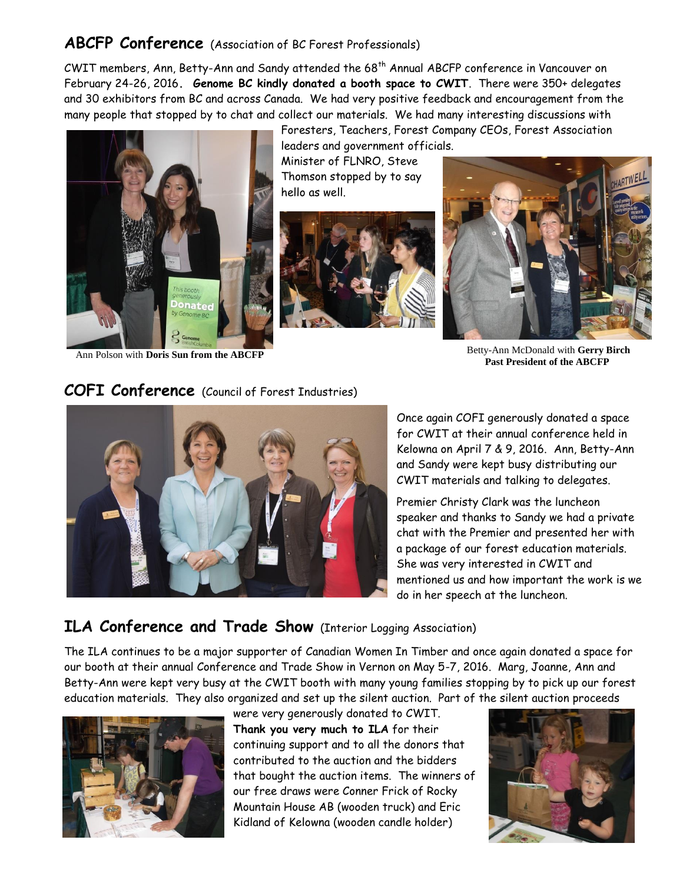#### **ABCFP Conference** (Association of BC Forest Professionals)

CWIT members, Ann, Betty-Ann and Sandy attended the 68th Annual ABCFP conference in Vancouver on February 24-26, 2016**. Genome BC kindly donated a booth space to CWIT**. There were 350+ delegates and 30 exhibitors from BC and across Canada. We had very positive feedback and encouragement from the many people that stopped by to chat and collect our materials. We had many interesting discussions with



Foresters, Teachers, Forest Company CEOs, Forest Association leaders and government officials. Minister of FLNRO, Steve

Thomson stopped by to say hello as well.





Ann Polson with **Doris Sun from the ABCFP** Betty-Ann McDonald with Gerry Birch **Past President of the ABCFP**

### **COFI Conference** (Council of Forest Industries)



Once again COFI generously donated a space for CWIT at their annual conference held in Kelowna on April 7 & 9, 2016. Ann, Betty-Ann and Sandy were kept busy distributing our CWIT materials and talking to delegates.

Premier Christy Clark was the luncheon speaker and thanks to Sandy we had a private chat with the Premier and presented her with a package of our forest education materials. She was very interested in CWIT and mentioned us and how important the work is we do in her speech at the luncheon.

#### **ILA Conference and Trade Show** (Interior Logging Association)

The ILA continues to be a major supporter of Canadian Women In Timber and once again donated a space for our booth at their annual Conference and Trade Show in Vernon on May 5-7, 2016. Marg, Joanne, Ann and Betty-Ann were kept very busy at the CWIT booth with many young families stopping by to pick up our forest education materials. They also organized and set up the silent auction. Part of the silent auction proceeds



were very generously donated to CWIT. **Thank you very much to ILA** for their continuing support and to all the donors that contributed to the auction and the bidders that bought the auction items. The winners of our free draws were Conner Frick of Rocky Mountain House AB (wooden truck) and Eric Kidland of Kelowna (wooden candle holder)